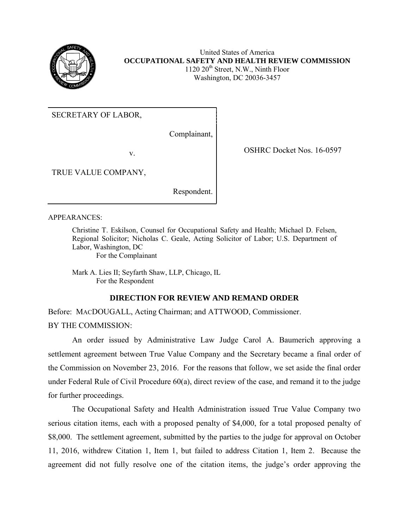

United States of America **OCCUPATIONAL SAFETY AND HEALTH REVIEW COMMISSION**   $1120 20<sup>th</sup>$  Street, N.W., Ninth Floor Washington, DC 20036-3457

SECRETARY OF LABOR,

Complainant,

v. Solution of the COSHRC Docket Nos. 16-0597

TRUE VALUE COMPANY,

Respondent.

## APPEARANCES:

Christine T. Eskilson, Counsel for Occupational Safety and Health; Michael D. Felsen, Regional Solicitor; Nicholas C. Geale, Acting Solicitor of Labor; U.S. Department of Labor, Washington, DC

For the Complainant

Mark A. Lies II; Seyfarth Shaw, LLP, Chicago, IL For the Respondent

## **DIRECTION FOR REVIEW AND REMAND ORDER**

Before: MACDOUGALL, Acting Chairman; and ATTWOOD, Commissioner. BY THE COMMISSION:

 An order issued by Administrative Law Judge Carol A. Baumerich approving a settlement agreement between True Value Company and the Secretary became a final order of the Commission on November 23, 2016. For the reasons that follow, we set aside the final order under Federal Rule of Civil Procedure 60(a), direct review of the case, and remand it to the judge for further proceedings.

 The Occupational Safety and Health Administration issued True Value Company two serious citation items, each with a proposed penalty of \$4,000, for a total proposed penalty of \$8,000. The settlement agreement, submitted by the parties to the judge for approval on October 11, 2016, withdrew Citation 1, Item 1, but failed to address Citation 1, Item 2. Because the agreement did not fully resolve one of the citation items, the judge's order approving the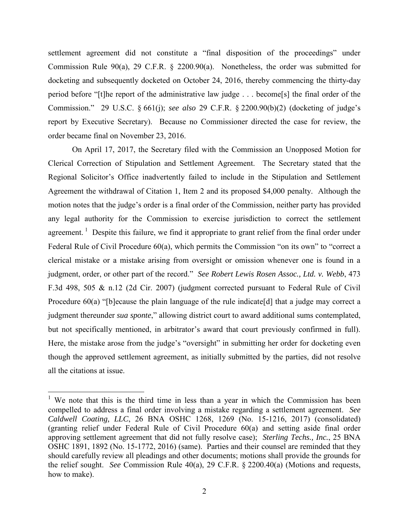settlement agreement did not constitute a "final disposition of the proceedings" under Commission Rule 90(a), 29 C.F.R. § 2200.90(a). Nonetheless, the order was submitted for docketing and subsequently docketed on October 24, 2016, thereby commencing the thirty-day period before "[t]he report of the administrative law judge . . . become[s] the final order of the Commission." 29 U.S.C. § 661(j); *see also* 29 C.F.R. § 2200.90(b)(2) (docketing of judge's report by Executive Secretary). Because no Commissioner directed the case for review, the order became final on November 23, 2016.

On April 17, 2017, the Secretary filed with the Commission an Unopposed Motion for Clerical Correction of Stipulation and Settlement Agreement. The Secretary stated that the Regional Solicitor's Office inadvertently failed to include in the Stipulation and Settlement Agreement the withdrawal of Citation 1, Item 2 and its proposed \$4,000 penalty. Although the motion notes that the judge's order is a final order of the Commission, neither party has provided any legal authority for the Commission to exercise jurisdiction to correct the settlement agreement.<sup>1</sup> Despite this failure, we find it appropriate to grant relief from the final order under Federal Rule of Civil Procedure 60(a), which permits the Commission "on its own" to "correct a clerical mistake or a mistake arising from oversight or omission whenever one is found in a judgment, order, or other part of the record." *See Robert Lewis Rosen Assoc., Ltd. v. Webb*, 473 F.3d 498, 505 & n.12 (2d Cir. 2007) (judgment corrected pursuant to Federal Rule of Civil Procedure 60(a) "[b]ecause the plain language of the rule indicate<sup>[d]</sup> that a judge may correct a judgment thereunder *sua sponte*," allowing district court to award additional sums contemplated, but not specifically mentioned, in arbitrator's award that court previously confirmed in full). Here, the mistake arose from the judge's "oversight" in submitting her order for docketing even though the approved settlement agreement, as initially submitted by the parties, did not resolve all the citations at issue.

<sup>&</sup>lt;sup>1</sup> We note that this is the third time in less than a year in which the Commission has been compelled to address a final order involving a mistake regarding a settlement agreement. *See Caldwell Coating, LLC*, 26 BNA OSHC 1268, 1269 (No. 15-1216, 2017) (consolidated) (granting relief under Federal Rule of Civil Procedure 60(a) and setting aside final order approving settlement agreement that did not fully resolve case); *Sterling Techs., Inc.*, 25 BNA OSHC 1891, 1892 (No. 15-1772, 2016) (same). Parties and their counsel are reminded that they should carefully review all pleadings and other documents; motions shall provide the grounds for the relief sought. *See* Commission Rule 40(a), 29 C.F.R. § 2200.40(a) (Motions and requests, how to make).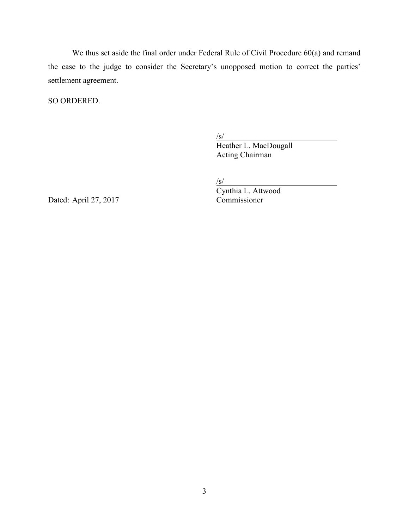We thus set aside the final order under Federal Rule of Civil Procedure 60(a) and remand the case to the judge to consider the Secretary's unopposed motion to correct the parties' settlement agreement.

SO ORDERED.

 $\sqrt{s/2}$ 

 Heather L. MacDougall Acting Chairman

 $/s/$ 

Dated: April 27, 2017

Cynthia L. Attwood